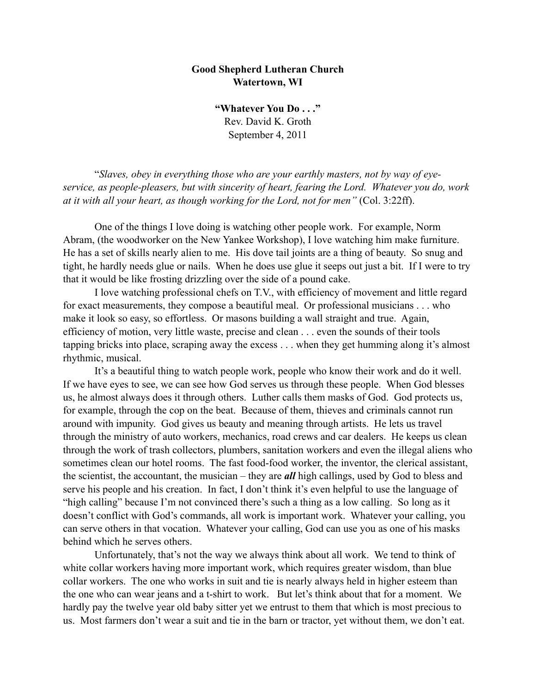## **Good Shepherd Lutheran Church Watertown, WI**

**"Whatever You Do . . ."** Rev. David K. Groth September 4, 2011

 "*Slaves, obey in everything those who are your earthly masters, not by way of eyeservice, as people-pleasers, but with sincerity of heart, fearing the Lord. Whatever you do, work at it with all your heart, as though working for the Lord, not for men"* (Col. 3:22ff).

 One of the things I love doing is watching other people work. For example, Norm Abram, (the woodworker on the New Yankee Workshop), I love watching him make furniture. He has a set of skills nearly alien to me. His dove tail joints are a thing of beauty. So snug and tight, he hardly needs glue or nails. When he does use glue it seeps out just a bit. If I were to try that it would be like frosting drizzling over the side of a pound cake.

 I love watching professional chefs on T.V., with efficiency of movement and little regard for exact measurements, they compose a beautiful meal. Or professional musicians . . . who make it look so easy, so effortless. Or masons building a wall straight and true. Again, efficiency of motion, very little waste, precise and clean . . . even the sounds of their tools tapping bricks into place, scraping away the excess . . . when they get humming along it's almost rhythmic, musical.

 It's a beautiful thing to watch people work, people who know their work and do it well. If we have eyes to see, we can see how God serves us through these people. When God blesses us, he almost always does it through others. Luther calls them masks of God. God protects us, for example, through the cop on the beat. Because of them, thieves and criminals cannot run around with impunity. God gives us beauty and meaning through artists. He lets us travel through the ministry of auto workers, mechanics, road crews and car dealers. He keeps us clean through the work of trash collectors, plumbers, sanitation workers and even the illegal aliens who sometimes clean our hotel rooms. The fast food-food worker, the inventor, the clerical assistant, the scientist, the accountant, the musician – they are *all* high callings, used by God to bless and serve his people and his creation. In fact, I don't think it's even helpful to use the language of "high calling" because I'm not convinced there's such a thing as a low calling. So long as it doesn't conflict with God's commands, all work is important work. Whatever your calling, you can serve others in that vocation. Whatever your calling, God can use you as one of his masks behind which he serves others.

Unfortunately, that's not the way we always think about all work. We tend to think of white collar workers having more important work, which requires greater wisdom, than blue collar workers. The one who works in suit and tie is nearly always held in higher esteem than the one who can wear jeans and a t-shirt to work. But let's think about that for a moment. We hardly pay the twelve year old baby sitter yet we entrust to them that which is most precious to us. Most farmers don't wear a suit and tie in the barn or tractor, yet without them, we don't eat.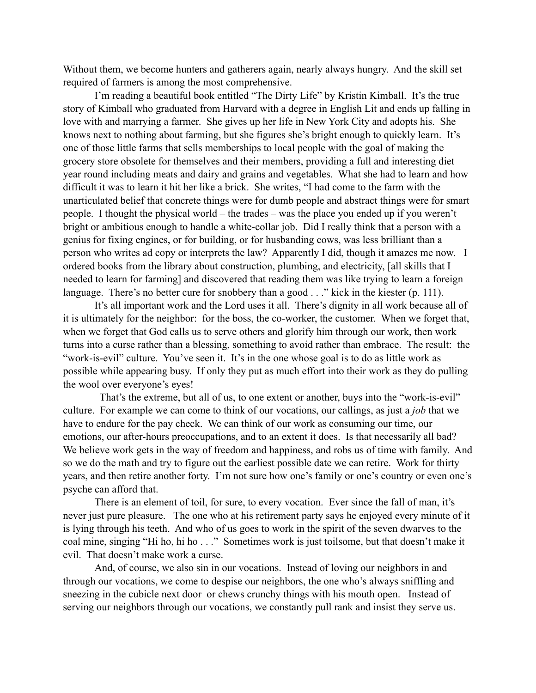Without them, we become hunters and gatherers again, nearly always hungry. And the skill set required of farmers is among the most comprehensive.

 I'm reading a beautiful book entitled "The Dirty Life" by Kristin Kimball. It's the true story of Kimball who graduated from Harvard with a degree in English Lit and ends up falling in love with and marrying a farmer. She gives up her life in New York City and adopts his. She knows next to nothing about farming, but she figures she's bright enough to quickly learn. It's one of those little farms that sells memberships to local people with the goal of making the grocery store obsolete for themselves and their members, providing a full and interesting diet year round including meats and dairy and grains and vegetables. What she had to learn and how difficult it was to learn it hit her like a brick. She writes, "I had come to the farm with the unarticulated belief that concrete things were for dumb people and abstract things were for smart people. I thought the physical world – the trades – was the place you ended up if you weren't bright or ambitious enough to handle a white-collar job. Did I really think that a person with a genius for fixing engines, or for building, or for husbanding cows, was less brilliant than a person who writes ad copy or interprets the law? Apparently I did, though it amazes me now. I ordered books from the library about construction, plumbing, and electricity, [all skills that I needed to learn for farming] and discovered that reading them was like trying to learn a foreign language. There's no better cure for snobbery than a good . . ." kick in the kiester (p. 111).

It's all important work and the Lord uses it all. There's dignity in all work because all of it is ultimately for the neighbor: for the boss, the co-worker, the customer. When we forget that, when we forget that God calls us to serve others and glorify him through our work, then work turns into a curse rather than a blessing, something to avoid rather than embrace. The result: the "work-is-evil" culture. You've seen it. It's in the one whose goal is to do as little work as possible while appearing busy. If only they put as much effort into their work as they do pulling the wool over everyone's eyes!

 That's the extreme, but all of us, to one extent or another, buys into the "work-is-evil" culture. For example we can come to think of our vocations, our callings, as just a *job* that we have to endure for the pay check. We can think of our work as consuming our time, our emotions, our after-hours preoccupations, and to an extent it does. Is that necessarily all bad? We believe work gets in the way of freedom and happiness, and robs us of time with family. And so we do the math and try to figure out the earliest possible date we can retire. Work for thirty years, and then retire another forty. I'm not sure how one's family or one's country or even one's psyche can afford that.

There is an element of toil, for sure, to every vocation. Ever since the fall of man, it's never just pure pleasure. The one who at his retirement party says he enjoyed every minute of it is lying through his teeth. And who of us goes to work in the spirit of the seven dwarves to the coal mine, singing "Hi ho, hi ho . . ." Sometimes work is just toilsome, but that doesn't make it evil. That doesn't make work a curse.

And, of course, we also sin in our vocations. Instead of loving our neighbors in and through our vocations, we come to despise our neighbors, the one who's always sniffling and sneezing in the cubicle next door or chews crunchy things with his mouth open. Instead of serving our neighbors through our vocations, we constantly pull rank and insist they serve us.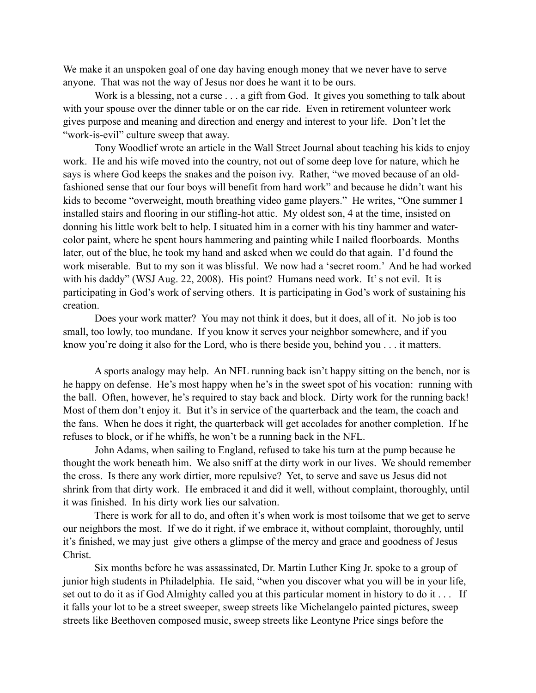We make it an unspoken goal of one day having enough money that we never have to serve anyone. That was not the way of Jesus nor does he want it to be ours.

Work is a blessing, not a curse . . . a gift from God. It gives you something to talk about with your spouse over the dinner table or on the car ride. Even in retirement volunteer work gives purpose and meaning and direction and energy and interest to your life. Don't let the "work-is-evil" culture sweep that away.

Tony Woodlief wrote an article in the Wall Street Journal about teaching his kids to enjoy work. He and his wife moved into the country, not out of some deep love for nature, which he says is where God keeps the snakes and the poison ivy. Rather, "we moved because of an oldfashioned sense that our four boys will benefit from hard work" and because he didn't want his kids to become "overweight, mouth breathing video game players." He writes, "One summer I installed stairs and flooring in our stifling-hot attic. My oldest son, 4 at the time, insisted on donning his little work belt to help. I situated him in a corner with his tiny hammer and watercolor paint, where he spent hours hammering and painting while I nailed floorboards. Months later, out of the blue, he took my hand and asked when we could do that again. I'd found the work miserable. But to my son it was blissful. We now had a 'secret room.' And he had worked with his daddy" (WSJ Aug. 22, 2008). His point? Humans need work. It's not evil. It is participating in God's work of serving others. It is participating in God's work of sustaining his creation.

Does your work matter? You may not think it does, but it does, all of it. No job is too small, too lowly, too mundane. If you know it serves your neighbor somewhere, and if you know you're doing it also for the Lord, who is there beside you, behind you . . . it matters.

A sports analogy may help. An NFL running back isn't happy sitting on the bench, nor is he happy on defense. He's most happy when he's in the sweet spot of his vocation: running with the ball. Often, however, he's required to stay back and block. Dirty work for the running back! Most of them don't enjoy it. But it's in service of the quarterback and the team, the coach and the fans. When he does it right, the quarterback will get accolades for another completion. If he refuses to block, or if he whiffs, he won't be a running back in the NFL.

 John Adams, when sailing to England, refused to take his turn at the pump because he thought the work beneath him. We also sniff at the dirty work in our lives. We should remember the cross. Is there any work dirtier, more repulsive? Yet, to serve and save us Jesus did not shrink from that dirty work. He embraced it and did it well, without complaint, thoroughly, until it was finished. In his dirty work lies our salvation.

 There is work for all to do, and often it's when work is most toilsome that we get to serve our neighbors the most. If we do it right, if we embrace it, without complaint, thoroughly, until it's finished, we may just give others a glimpse of the mercy and grace and goodness of Jesus Christ.

Six months before he was assassinated, Dr. Martin Luther King Jr. spoke to a group of junior high students in Philadelphia. He said, "when you discover what you will be in your life, set out to do it as if God Almighty called you at this particular moment in history to do it . . . If it falls your lot to be a street sweeper, sweep streets like Michelangelo painted pictures, sweep streets like Beethoven composed music, sweep streets like Leontyne Price sings before the